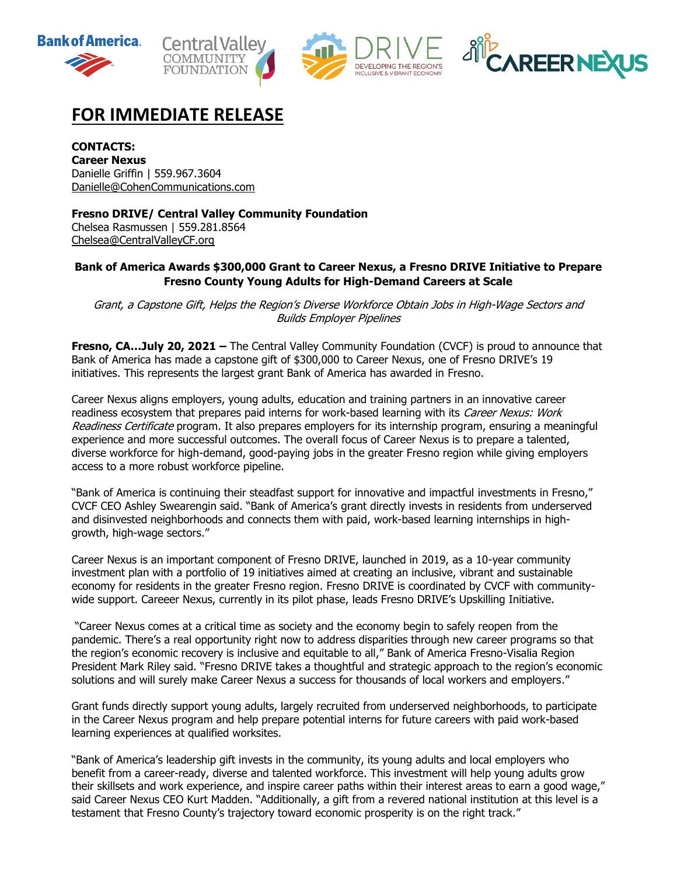







# **FOR IMMEDIATE RELEASE**

**CONTACTS: Career Nexus**  Danielle Griffin | 559.967.3604 [Danielle@CohenCommunications.com](mailto:Danielle@CohenCommunications.com)

**Fresno DRIVE/ Central Valley Community Foundation**

Chelsea Rasmussen | 559.281.8564 [Chelsea@CentralValleyCF.org](mailto:Chelsea@CentralValleyCF.org)

## **Bank of America Awards \$300,000 Grant to Career Nexus, a Fresno DRIVE Initiative to Prepare Fresno County Young Adults for High-Demand Careers at Scale**

Grant, <sup>a</sup> Capstone Gift, Helps the Region's Diverse Workforce Obtain Jobs in High-Wage Sectors and Builds Employer Pipelines

**Fresno, CA...July 20, 2021 –** The Central Valley Community Foundation (CVCF) is proud to announce that Bank of America has made a capstone gift of \$300,000 to Career Nexus, one of Fresno DRIVE's 19 initiatives. This represents the largest grant Bank of America has awarded in Fresno.

Career Nexus aligns employers, young adults, education and training partners in an innovative career readiness ecosystem that prepares paid interns for work-based learning with its Career Nexus: Work Readiness Certificate program. It also prepares employers for its internship program, ensuring a meaningful experience and more successful outcomes. The overall focus of Career Nexus is to prepare a talented, diverse workforce for high-demand, good-paying jobs in the greater Fresno region while giving employers access to a more robust workforce pipeline.

"Bank of America is continuing their steadfast support for innovative and impactful investments in Fresno," CVCF CEO Ashley Swearengin said. "Bank of America's grant directly invests in residents from underserved and disinvested neighborhoods and connects them with paid, work-based learning internships in highgrowth, high-wage sectors."

Career Nexus is an important component of Fresno DRIVE, launched in 2019, as a 10-year community investment plan with a portfolio of 19 initiatives aimed at creating an inclusive, vibrant and sustainable economy for residents in the greater Fresno region. Fresno DRIVE is coordinated by CVCF with communitywide support. Careeer Nexus, currently in its pilot phase, leads Fresno DRIVE's Upskilling Initiative.

"Career Nexus comes at a critical time as society and the economy begin to safely reopen from the pandemic. There's a real opportunity right now to address disparities through new career programs so that the region's economic recovery is inclusive and equitable to all," Bank of America Fresno-Visalia Region President Mark Riley said. "Fresno DRIVE takes a thoughtful and strategic approach to the region's economic solutions and will surely make Career Nexus a success for thousands of local workers and employers."

Grant funds directly support young adults, largely recruited from underserved neighborhoods, to participate in the Career Nexus program and help prepare potential interns for future careers with paid work-based learning experiences at qualified worksites.

"Bank of America's leadership gift invests in the community, its young adults and local employers who benefit from a career-ready, diverse and talented workforce. This investment will help young adults grow their skillsets and work experience, and inspire career paths within their interest areas to earn a good wage," said Career Nexus CEO Kurt Madden. "Additionally, a gift from a revered national institution at this level is a testament that Fresno County's trajectory toward economic prosperity is on the right track."